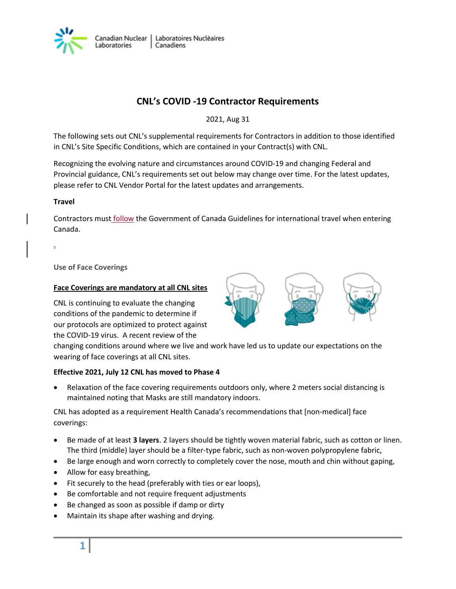

# **CNL's COVID -19 Contractor Requirements**

2021, Aug 31

The following sets out CNL's supplemental requirements for Contractors in addition to those identified in CNL's Site Specific Conditions, which are contained in your Contract(s) with CNL.

Recognizing the evolving nature and circumstances around COVID-19 and changing Federal and Provincial guidance, CNL's requirements set out below may change over time. For the latest updates, please refer to CNL Vendor Portal for the latest updates and arrangements.

## **Travel**

.

Contractors must **follow** the Government of Canada Guidelines for international travel when entering Canada.

**Use of Face Coverings**

#### **Face Coverings are mandatory at all CNL sites**

CNL is continuing to evaluate the changing conditions of the pandemic to determine if our protocols are optimized to protect against the COVID-19 virus. A recent review of the



changing conditions around where we live and work have led us to update our expectations on the wearing of face coverings at all CNL sites.

## **Effective 2021, July 12 CNL has moved to Phase 4**

 Relaxation of the face covering requirements outdoors only, where 2 meters social distancing is maintained noting that Masks are still mandatory indoors.

CNL has adopted as a requirement Health Canada's recommendations that [non-medical] face coverings:

- Be made of at least **3 layers**. 2 layers should be tightly woven material fabric, such as cotton or linen. The third (middle) layer should be a filter-type fabric, such as non-woven polypropylene fabric,
- Be large enough and worn correctly to completely cover the nose, mouth and chin without gaping,
- Allow for easy breathing,
- Fit securely to the head (preferably with ties or ear loops),
- Be comfortable and not require frequent adjustments
- Be changed as soon as possible if damp or dirty
- Maintain its shape after washing and drying.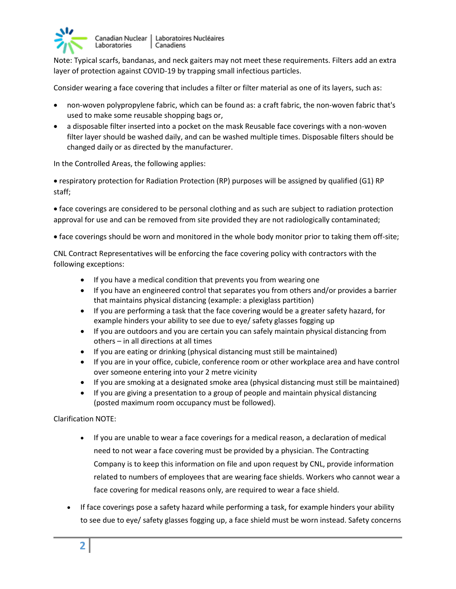

Canadian Nuclear | Laboratoires Nucléaires Laboratories Canadiens

Note: Typical scarfs, bandanas, and neck gaiters may not meet these requirements. Filters add an extra layer of protection against COVID-19 by trapping small infectious particles.

Consider wearing a face covering that includes a filter or filter material as one of its layers, such as:

- non-woven polypropylene fabric, which can be found as: a craft fabric, the non-woven fabric that's used to make some reusable shopping bags or,
- a disposable filter inserted into a pocket on the mask Reusable face coverings with a non-woven filter layer should be washed daily, and can be washed multiple times. Disposable filters should be changed daily or as directed by the manufacturer.

In the Controlled Areas, the following applies:

 respiratory protection for Radiation Protection (RP) purposes will be assigned by qualified (G1) RP staff;

 face coverings are considered to be personal clothing and as such are subject to radiation protection approval for use and can be removed from site provided they are not radiologically contaminated;

face coverings should be worn and monitored in the whole body monitor prior to taking them off-site;

CNL Contract Representatives will be enforcing the face covering policy with contractors with the following exceptions:

- If you have a medical condition that prevents you from wearing one
- If you have an engineered control that separates you from others and/or provides a barrier that maintains physical distancing (example: a plexiglass partition)
- If you are performing a task that the face covering would be a greater safety hazard, for example hinders your ability to see due to eye/ safety glasses fogging up
- If you are outdoors and you are certain you can safely maintain physical distancing from others – in all directions at all times
- If you are eating or drinking (physical distancing must still be maintained)
- If you are in your office, cubicle, conference room or other workplace area and have control over someone entering into your 2 metre vicinity
- If you are smoking at a designated smoke area (physical distancing must still be maintained)
- If you are giving a presentation to a group of people and maintain physical distancing (posted maximum room occupancy must be followed).

Clarification NOTE:

- If you are unable to wear a face coverings for a medical reason, a declaration of medical need to not wear a face covering must be provided by a physician. The Contracting Company is to keep this information on file and upon request by CNL, provide information related to numbers of employees that are wearing face shields. Workers who cannot wear a face covering for medical reasons only, are required to wear a face shield.
- If face coverings pose a safety hazard while performing a task, for example hinders your ability to see due to eye/ safety glasses fogging up, a face shield must be worn instead. Safety concerns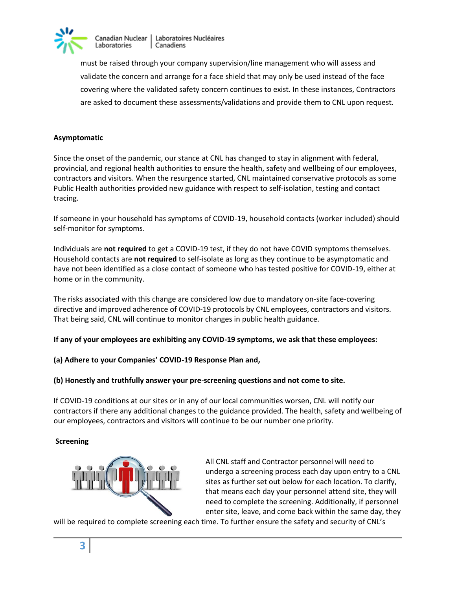

Laboratoires Nucléaires Canadian Nuclear Laboratories Canadiens

must be raised through your company supervision/line management who will assess and validate the concern and arrange for a face shield that may only be used instead of the face covering where the validated safety concern continues to exist. In these instances, Contractors are asked to document these assessments/validations and provide them to CNL upon request.

## **Asymptomatic**

Since the onset of the pandemic, our stance at CNL has changed to stay in alignment with federal, provincial, and regional health authorities to ensure the health, safety and wellbeing of our employees, contractors and visitors. When the resurgence started, CNL maintained conservative protocols as some Public Health authorities provided new guidance with respect to self-isolation, testing and contact tracing.

If someone in your household has symptoms of COVID-19, household contacts (worker included) should self-monitor for symptoms.

Individuals are **not required** to get a COVID-19 test, if they do not have COVID symptoms themselves. Household contacts are **not required** to self-isolate as long as they continue to be asymptomatic and have not been identified as a close contact of someone who has tested positive for COVID-19, either at home or in the community.

The risks associated with this change are considered low due to mandatory on-site face-covering directive and improved adherence of COVID-19 protocols by CNL employees, contractors and visitors. That being said, CNL will continue to monitor changes in public health guidance.

**If any of your employees are exhibiting any COVID-19 symptoms, we ask that these employees:**

**(a) Adhere to your Companies' COVID-19 Response Plan and,** 

**(b) Honestly and truthfully answer your pre-screening questions and not come to site.**

If COVID-19 conditions at our sites or in any of our local communities worsen, CNL will notify our contractors if there any additional changes to the guidance provided. The health, safety and wellbeing of our employees, contractors and visitors will continue to be our number one priority.

## **Screening**



All CNL staff and Contractor personnel will need to undergo a screening process each day upon entry to a CNL sites as further set out below for each location. To clarify, that means each day your personnel attend site, they will need to complete the screening. Additionally, if personnel enter site, leave, and come back within the same day, they

will be required to complete screening each time. To further ensure the safety and security of CNL's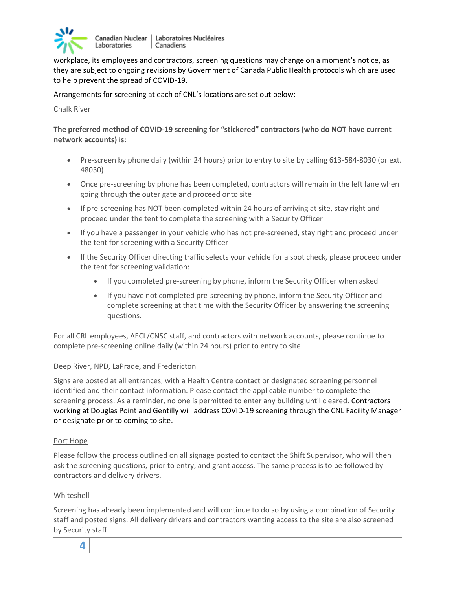

Canadian Nuclear Laboratoires Nucléaires Laboratories Canadiens

workplace, its employees and contractors, screening questions may change on a moment's notice, as they are subject to ongoing revisions by Government of Canada Public Health protocols which are used to help prevent the spread of COVID-19.

Arrangements for screening at each of CNL's locations are set out below:

Chalk River

**The preferred method of COVID-19 screening for "stickered" contractors (who do NOT have current network accounts) is:**

- Pre-screen by phone daily (within 24 hours) prior to entry to site by calling 613-584-8030 (or ext. 48030)
- Once pre-screening by phone has been completed, contractors will remain in the left lane when going through the outer gate and proceed onto site
- If pre-screening has NOT been completed within 24 hours of arriving at site, stay right and proceed under the tent to complete the screening with a Security Officer
- If you have a passenger in your vehicle who has not pre-screened, stay right and proceed under the tent for screening with a Security Officer
- If the Security Officer directing traffic selects your vehicle for a spot check, please proceed under the tent for screening validation:
	- If you completed pre-screening by phone, inform the Security Officer when asked
	- If you have not completed pre-screening by phone, inform the Security Officer and complete screening at that time with the Security Officer by answering the screening questions.

For all CRL employees, AECL/CNSC staff, and contractors with network accounts, please continue to complete pre-screening online daily (within 24 hours) prior to entry to site.

## Deep River, NPD, LaPrade, and Fredericton

Signs are posted at all entrances, with a Health Centre contact or designated screening personnel identified and their contact information. Please contact the applicable number to complete the screening process. As a reminder, no one is permitted to enter any building until cleared. Contractors working at Douglas Point and Gentilly will address COVID-19 screening through the CNL Facility Manager or designate prior to coming to site.

## Port Hope

Please follow the process outlined on all signage posted to contact the Shift Supervisor, who will then ask the screening questions, prior to entry, and grant access. The same process is to be followed by contractors and delivery drivers.

## Whiteshell

Screening has already been implemented and will continue to do so by using a combination of Security staff and posted signs. All delivery drivers and contractors wanting access to the site are also screened by Security staff.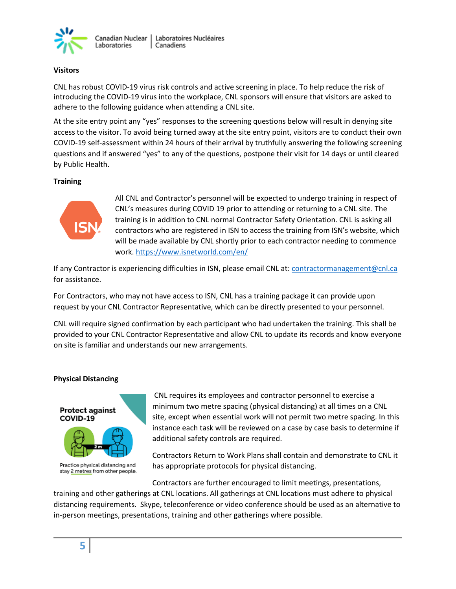

## **Visitors**

CNL has robust COVID-19 virus risk controls and active screening in place. To help reduce the risk of introducing the COVID-19 virus into the workplace, CNL sponsors will ensure that visitors are asked to adhere to the following guidance when attending a CNL site.

At the site entry point any "yes" responses to the screening questions below will result in denying site access to the visitor. To avoid being turned away at the site entry point, visitors are to conduct their own COVID-19 self-assessment within 24 hours of their arrival by truthfully answering the following screening questions and if answered "yes" to any of the questions, postpone their visit for 14 days or until cleared by Public Health.

## **Training**



All CNL and Contractor's personnel will be expected to undergo training in respect of CNL's measures during COVID 19 prior to attending or returning to a CNL site. The training is in addition to CNL normal Contractor Safety Orientation. CNL is asking all contractors who are registered in ISN to access the training from ISN's website, which will be made available by CNL shortly prior to each contractor needing to commence work[. https://www.isnetworld.com/en/](https://www.isnetworld.com/en/)

If any Contractor is experiencing difficulties in ISN, please email CNL at[: contractormanagement@cnl.ca](mailto:contractormanagement@cnl.ca)  for assistance.

For Contractors, who may not have access to ISN, CNL has a training package it can provide upon request by your CNL Contractor Representative, which can be directly presented to your personnel.

CNL will require signed confirmation by each participant who had undertaken the training. This shall be provided to your CNL Contractor Representative and allow CNL to update its records and know everyone on site is familiar and understands our new arrangements.

## **Physical Distancing**



Practice physical distancing and stay 2 metres from other people.

CNL requires its employees and contractor personnel to exercise a minimum two metre spacing (physical distancing) at all times on a CNL site, except when essential work will not permit two metre spacing. In this instance each task will be reviewed on a case by case basis to determine if additional safety controls are required.

Contractors Return to Work Plans shall contain and demonstrate to CNL it has appropriate protocols for physical distancing.

Contractors are further encouraged to limit meetings, presentations, training and other gatherings at CNL locations. All gatherings at CNL locations must adhere to physical distancing requirements. Skype, teleconference or video conference should be used as an alternative to in-person meetings, presentations, training and other gatherings where possible.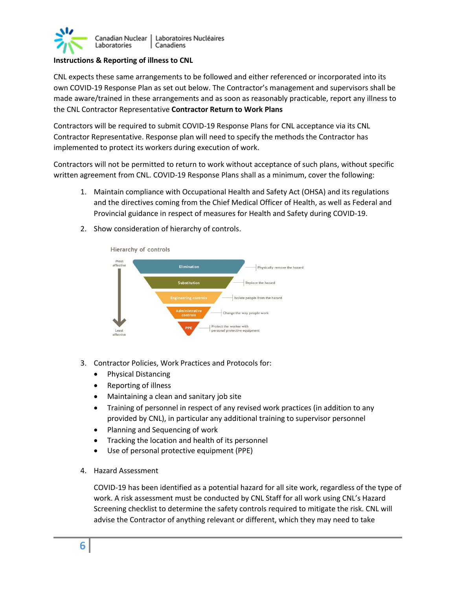

## **Instructions & Reporting of illness to CNL**

CNL expects these same arrangements to be followed and either referenced or incorporated into its own COVID-19 Response Plan as set out below. The Contractor's management and supervisors shall be made aware/trained in these arrangements and as soon as reasonably practicable, report any illness to the CNL Contractor Representative **Contractor Return to Work Plans**

Contractors will be required to submit COVID-19 Response Plans for CNL acceptance via its CNL Contractor Representative. Response plan will need to specify the methods the Contractor has implemented to protect its workers during execution of work.

Contractors will not be permitted to return to work without acceptance of such plans, without specific written agreement from CNL. COVID-19 Response Plans shall as a minimum, cover the following:

- 1. Maintain compliance with Occupational Health and Safety Act (OHSA) and its regulations and the directives coming from the Chief Medical Officer of Health, as well as Federal and Provincial guidance in respect of measures for Health and Safety during COVID-19.
	- Hierarchy of controls Most Elimination Physically remove the hazard  $C<sub>other</sub>$ Replace the hazard Isolate neople from the bazard Change the way people Protect the worker with effect
- 2. Show consideration of hierarchy of controls.

- 3. Contractor Policies, Work Practices and Protocols for:
	- Physical Distancing
	- Reporting of illness
	- Maintaining a clean and sanitary job site
	- Training of personnel in respect of any revised work practices (in addition to any provided by CNL), in particular any additional training to supervisor personnel
	- Planning and Sequencing of work
	- Tracking the location and health of its personnel
	- Use of personal protective equipment (PPE)
- 4. Hazard Assessment

COVID-19 has been identified as a potential hazard for all site work, regardless of the type of work. A risk assessment must be conducted by CNL Staff for all work using CNL's Hazard Screening checklist to determine the safety controls required to mitigate the risk. CNL will advise the Contractor of anything relevant or different, which they may need to take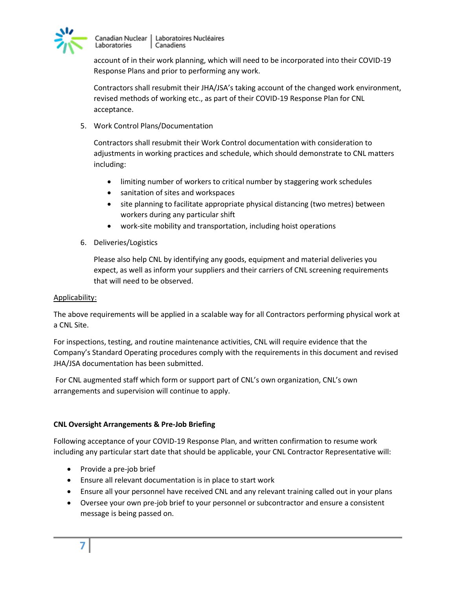

Canadian Nuclear | Laboratoires Nucléaires Laboratories | Canadiens

account of in their work planning, which will need to be incorporated into their COVID-19 Response Plans and prior to performing any work.

Contractors shall resubmit their JHA/JSA's taking account of the changed work environment, revised methods of working etc., as part of their COVID-19 Response Plan for CNL acceptance.

5. Work Control Plans/Documentation

Contractors shall resubmit their Work Control documentation with consideration to adjustments in working practices and schedule, which should demonstrate to CNL matters including:

- limiting number of workers to critical number by staggering work schedules
- sanitation of sites and workspaces
- site planning to facilitate appropriate physical distancing (two metres) between workers during any particular shift
- work-site mobility and transportation, including hoist operations
- 6. Deliveries/Logistics

Please also help CNL by identifying any goods, equipment and material deliveries you expect, as well as inform your suppliers and their carriers of CNL screening requirements that will need to be observed.

## Applicability:

The above requirements will be applied in a scalable way for all Contractors performing physical work at a CNL Site.

For inspections, testing, and routine maintenance activities, CNL will require evidence that the Company's Standard Operating procedures comply with the requirements in this document and revised JHA/JSA documentation has been submitted.

For CNL augmented staff which form or support part of CNL's own organization, CNL's own arrangements and supervision will continue to apply.

## **CNL Oversight Arrangements & Pre-Job Briefing**

Following acceptance of your COVID-19 Response Plan, and written confirmation to resume work including any particular start date that should be applicable, your CNL Contractor Representative will:

- Provide a pre-job brief
- Ensure all relevant documentation is in place to start work
- Ensure all your personnel have received CNL and any relevant training called out in your plans
- Oversee your own pre-job brief to your personnel or subcontractor and ensure a consistent message is being passed on.